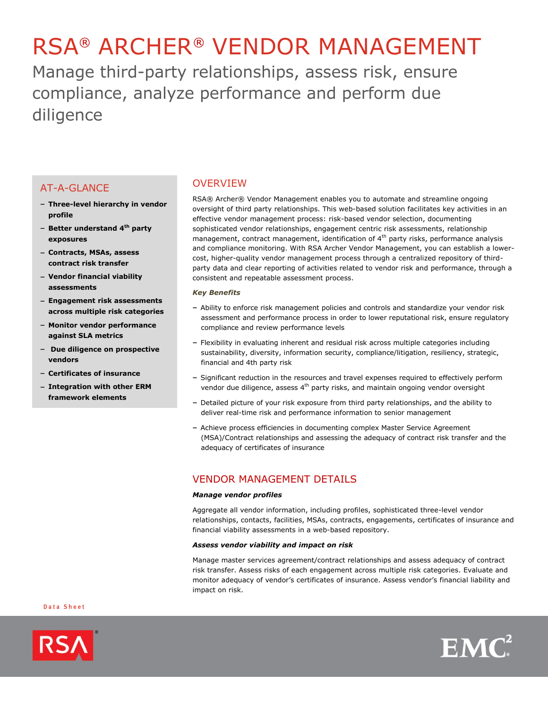# RSA® ARCHER® VENDOR MANAGEMENT

Manage third-party relationships, assess risk, ensure compliance, analyze performance and perform due diligence

# AT-A-GLANCE

- **Three-level hierarchy in vendor profile**
- **Better understand 4th party exposures**
- **Contracts, MSAs, assess contract risk transfer**
- **Vendor financial viability assessments**
- **Engagement risk assessments across multiple risk categories**
- **Monitor vendor performance against SLA metrics**
- **Due diligence on prospective vendors**
- **Certificates of insurance**
- **Integration with other ERM framework elements**

## **OVERVIEW**

RSA® Archer® Vendor Management enables you to automate and streamline ongoing oversight of third party relationships. This web-based solution facilitates key activities in an effective vendor management process: risk-based vendor selection, documenting sophisticated vendor relationships, engagement centric risk assessments, relationship management, contract management, identification of  $4<sup>th</sup>$  party risks, performance analysis and compliance monitoring. With RSA Archer Vendor Management, you can establish a lowercost, higher-quality vendor management process through a centralized repository of thirdparty data and clear reporting of activities related to vendor risk and performance, through a consistent and repeatable assessment process.

## *Key Benefits*

- Ability to enforce risk management policies and controls and standardize your vendor risk assessment and performance process in order to lower reputational risk, ensure regulatory compliance and review performance levels
- Flexibility in evaluating inherent and residual risk across multiple categories including sustainability, diversity, information security, compliance/litigation, resiliency, strategic, financial and 4th party risk
- Significant reduction in the resources and travel expenses required to effectively perform vendor due diligence, assess 4<sup>th</sup> party risks, and maintain ongoing vendor oversight
- Detailed picture of your risk exposure from third party relationships, and the ability to deliver real-time risk and performance information to senior management
- Achieve process efficiencies in documenting complex Master Service Agreement (MSA)/Contract relationships and assessing the adequacy of contract risk transfer and the adequacy of certificates of insurance

# VENDOR MANAGEMENT DETAILS

## *Manage vendor profiles*

Aggregate all vendor information, including profiles, sophisticated three-level vendor relationships, contacts, facilities, MSAs, contracts, engagements, certificates of insurance and financial viability assessments in a web-based repository.

## *Assess vendor viability and impact on risk*

Manage master services agreement/contract relationships and assess adequacy of contract risk transfer. Assess risks of each engagement across multiple risk categories. Evaluate and monitor adequacy of vendor's certificates of insurance. Assess vendor's financial liability and impact on risk.

#### Data Sheet